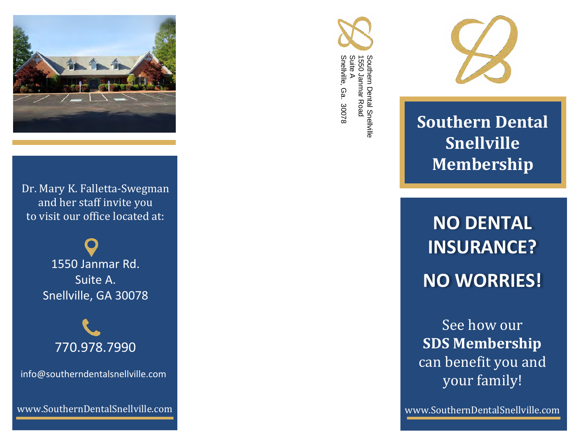

Dr. Mary K. Falletta-Swegman and her staff invite you to visit our office located at:

> 1550 Janmar Rd. Suite A. Snellville, GA 30078



info@southerndentalsnellville.com

www.SouthernDentalSnellville.com





**Southern Dental Snellville Membership**

**NO DENTAL INSURANCE? NO WORRIES!**

See how our **SDS Membership** can benefit you and your family!

www.SouthernDentalSnellville.com